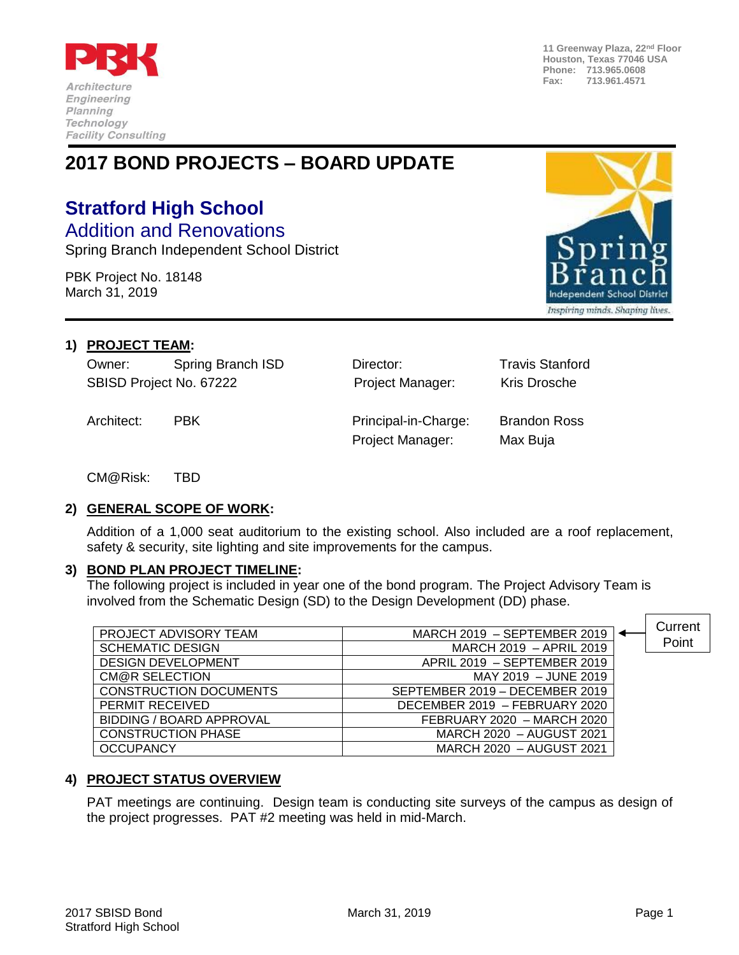

**11 Greenway Plaza, 22nd Floor Houston, Texas 77046 USA Phone: 713.965.0608 Fax: 713.961.4571**

## **2017 BOND PROJECTS – BOARD UPDATE**

# **Stratford High School**

Addition and Renovations Spring Branch Independent School District

PBK Project No. 18148 March 31, 2019



#### **1) PROJECT TEAM:**

Owner: Spring Branch ISD Director: Travis Stanford SBISD Project No. 67222 **Project Manager:** Kris Drosche

Architect: PBK Principal-in-Charge: Brandon Ross Project Manager: Max Buja

CM@Risk: TBD

#### **2) GENERAL SCOPE OF WORK:**

Addition of a 1,000 seat auditorium to the existing school. Also included are a roof replacement, safety & security, site lighting and site improvements for the campus.

#### **3) BOND PLAN PROJECT TIMELINE:**

The following project is included in year one of the bond program. The Project Advisory Team is involved from the Schematic Design (SD) to the Design Development (DD) phase.

| PROJECT ADVISORY TEAM         | MARCH 2019 - SEPTEMBER 2019    | Current |
|-------------------------------|--------------------------------|---------|
| <b>SCHEMATIC DESIGN</b>       | MARCH 2019 - APRIL 2019        | Point   |
| <b>DESIGN DEVELOPMENT</b>     | APRIL 2019 - SEPTEMBER 2019    |         |
| CM@R SELECTION                | MAY 2019 - JUNE 2019           |         |
| <b>CONSTRUCTION DOCUMENTS</b> | SEPTEMBER 2019 - DECEMBER 2019 |         |
| PERMIT RECEIVED               | DECEMBER 2019 - FEBRUARY 2020  |         |
| BIDDING / BOARD APPROVAL      | FEBRUARY 2020 - MARCH 2020     |         |
| <b>CONSTRUCTION PHASE</b>     | MARCH 2020 - AUGUST 2021       |         |
| <b>OCCUPANCY</b>              | MARCH 2020 - AUGUST 2021       |         |

### **4) PROJECT STATUS OVERVIEW**

PAT meetings are continuing. Design team is conducting site surveys of the campus as design of the project progresses. PAT #2 meeting was held in mid-March.